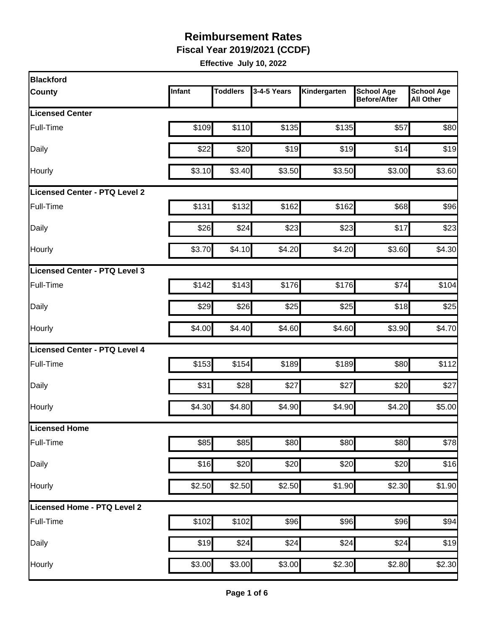**Fiscal Year 2019/2021 (CCDF)**

| Infant | <b>Toddlers</b> | 3-4-5 Years                                  | Kindergarten                                                                                                                                              | <b>School Age</b><br><b>Before/After</b> | <b>School Age</b><br><b>All Other</b>                                                                                                                |
|--------|-----------------|----------------------------------------------|-----------------------------------------------------------------------------------------------------------------------------------------------------------|------------------------------------------|------------------------------------------------------------------------------------------------------------------------------------------------------|
|        |                 |                                              |                                                                                                                                                           |                                          |                                                                                                                                                      |
| \$109  |                 | \$135                                        |                                                                                                                                                           | \$57                                     | \$80                                                                                                                                                 |
| \$22   |                 | \$19                                         |                                                                                                                                                           | \$14                                     | \$19                                                                                                                                                 |
|        |                 | \$3.50                                       |                                                                                                                                                           | \$3.00                                   | \$3.60                                                                                                                                               |
|        |                 |                                              |                                                                                                                                                           |                                          |                                                                                                                                                      |
| \$131  |                 | \$162                                        |                                                                                                                                                           | \$68                                     | \$96                                                                                                                                                 |
| \$26   | \$24            | \$23                                         |                                                                                                                                                           | \$17                                     | \$23                                                                                                                                                 |
| \$3.70 |                 | \$4.20                                       |                                                                                                                                                           | \$3.60                                   | \$4.30                                                                                                                                               |
|        |                 |                                              |                                                                                                                                                           |                                          |                                                                                                                                                      |
| \$142  |                 | \$176                                        |                                                                                                                                                           | \$74                                     | \$104                                                                                                                                                |
| \$29   |                 |                                              |                                                                                                                                                           | \$18                                     | \$25                                                                                                                                                 |
| \$4.00 |                 | \$4.60                                       |                                                                                                                                                           | \$3.90                                   | \$4.70                                                                                                                                               |
|        |                 |                                              |                                                                                                                                                           |                                          |                                                                                                                                                      |
| \$153  |                 | \$189                                        |                                                                                                                                                           | \$80                                     | \$112                                                                                                                                                |
| \$31   |                 | \$27                                         | \$27                                                                                                                                                      | \$20                                     | \$27                                                                                                                                                 |
|        |                 | \$4.90                                       |                                                                                                                                                           | \$4.20                                   | \$5.00                                                                                                                                               |
|        |                 |                                              |                                                                                                                                                           |                                          |                                                                                                                                                      |
| \$85   |                 | \$80                                         |                                                                                                                                                           | \$80                                     | \$78                                                                                                                                                 |
|        |                 |                                              |                                                                                                                                                           | \$20                                     | \$16                                                                                                                                                 |
|        |                 | \$2.50                                       |                                                                                                                                                           | \$2.30                                   | \$1.90                                                                                                                                               |
|        |                 |                                              |                                                                                                                                                           |                                          |                                                                                                                                                      |
| \$102  |                 | \$96                                         |                                                                                                                                                           | \$96                                     | \$94                                                                                                                                                 |
| \$19   | \$24            |                                              |                                                                                                                                                           | \$24                                     | \$19                                                                                                                                                 |
|        |                 |                                              |                                                                                                                                                           | \$2.80                                   | \$2.30                                                                                                                                               |
|        |                 | \$3.10<br>\$4.30<br>\$16<br>\$2.50<br>\$3.00 | \$110<br>\$20<br>\$3.40<br>\$132<br>\$4.10<br>\$143<br>\$26<br>\$4.40<br>\$154<br>\$28<br>\$4.80<br>\$85<br>\$20<br>$\overline{$}2.50$<br>\$102<br>\$3.00 | \$25<br>\$20<br>\$24<br>\$3.00           | \$135<br>\$19<br>\$3.50<br>\$162<br>\$23<br>\$4.20<br>\$176<br>\$25<br>\$4.60<br>\$189<br>\$4.90<br>\$80<br>\$20<br>\$1.90<br>\$96<br>\$24<br>\$2.30 |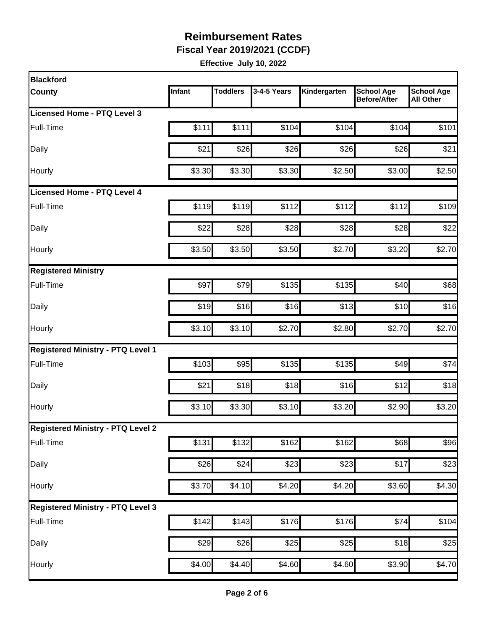**Fiscal Year 2019/2021 (CCDF)**

| <b>Blackford</b>                         |        |                 |                  |              |                                          |                                       |
|------------------------------------------|--------|-----------------|------------------|--------------|------------------------------------------|---------------------------------------|
| <b>County</b>                            | Infant | <b>Toddlers</b> | 3-4-5 Years      | Kindergarten | <b>School Age</b><br><b>Before/After</b> | <b>School Age</b><br><b>All Other</b> |
| Licensed Home - PTQ Level 3              |        |                 |                  |              |                                          |                                       |
| Full-Time                                | \$111  | \$111           | \$104            | \$104        | \$104                                    | \$101                                 |
| Daily                                    | \$21   | \$26            | \$26             | \$26         | \$26                                     | \$21                                  |
| Hourly                                   | \$3.30 | \$3.30          | \$3.30           | \$2.50       | \$3.00                                   | \$2.50                                |
| Licensed Home - PTQ Level 4              |        |                 |                  |              |                                          |                                       |
| Full-Time                                | \$119  | \$119           | \$112            | \$112        | \$112]                                   | \$109                                 |
| Daily                                    | \$22   | \$28            | \$28             | \$28         | \$28                                     | \$22                                  |
| Hourly                                   | \$3.50 | \$3.50          | \$3.50           | \$2.70       | \$3.20                                   | \$2.70                                |
| <b>Registered Ministry</b>               |        |                 |                  |              |                                          |                                       |
| Full-Time                                | \$97   | \$79            | \$135            | \$135        | \$40                                     | \$68                                  |
| Daily                                    | \$19   | \$16            | \$16             | \$13         | \$10                                     | \$16                                  |
| Hourly                                   | \$3.10 | \$3.10          | \$2.70           | \$2.80       | \$2.70                                   | \$2.70                                |
| <b>Registered Ministry - PTQ Level 1</b> |        |                 |                  |              |                                          |                                       |
| Full-Time                                | \$103  | \$95            | \$135            | \$135        | \$49                                     | \$74                                  |
| Daily                                    | \$21   | \$18            | \$18             | \$16         | \$12                                     | \$18                                  |
| Hourly                                   | \$3.10 | \$3.30          | \$3.10           | \$3.20       | \$2.90                                   | \$3.20                                |
| <b>Registered Ministry - PTQ Level 2</b> |        |                 |                  |              |                                          |                                       |
| Full-Time                                | \$131  | \$132           | \$162            | \$162        | \$68                                     | \$96                                  |
| Daily                                    | \$26   | \$24            | $\overline{$}23$ | \$23         | \$17                                     | \$23                                  |
| Hourly                                   | \$3.70 | \$4.10          | \$4.20           | \$4.20       | \$3.60                                   | \$4.30                                |
| <b>Registered Ministry - PTQ Level 3</b> |        |                 |                  |              |                                          |                                       |
| Full-Time                                | \$142  | \$143           | \$176            | \$176        | \$74                                     | \$104                                 |
| Daily                                    | \$29   | \$26            | \$25             | \$25         | \$18                                     | \$25                                  |
| Hourly                                   | \$4.00 | \$4.40          | \$4.60           | \$4.60       | \$3.90                                   | \$4.70                                |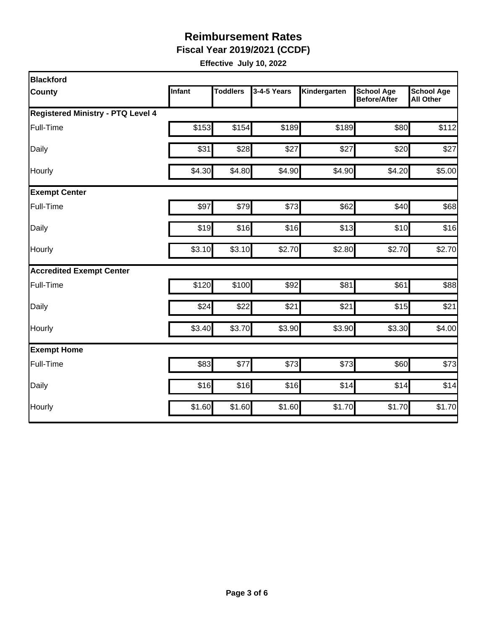**Fiscal Year 2019/2021 (CCDF)**

| Blackford                                |        |                 |             |              |                                          |                                       |
|------------------------------------------|--------|-----------------|-------------|--------------|------------------------------------------|---------------------------------------|
| <b>County</b>                            | Infant | <b>Toddlers</b> | 3-4-5 Years | Kindergarten | <b>School Age</b><br><b>Before/After</b> | <b>School Age</b><br><b>All Other</b> |
| <b>Registered Ministry - PTQ Level 4</b> |        |                 |             |              |                                          |                                       |
| Full-Time                                | \$153  | \$154           | \$189       | \$189        | \$80                                     | \$112                                 |
| Daily                                    | \$31   | \$28            | \$27        | \$27         | \$20                                     | \$27                                  |
| Hourly                                   | \$4.30 | \$4.80          | \$4.90      | \$4.90       | \$4.20                                   | \$5.00                                |
| <b>Exempt Center</b>                     |        |                 |             |              |                                          |                                       |
| Full-Time                                | \$97   | \$79            | \$73        | \$62         | \$40                                     | \$68                                  |
| Daily                                    | \$19   | \$16            | \$16        | \$13         | \$10                                     | \$16                                  |
| Hourly                                   | \$3.10 | \$3.10          | \$2.70      | \$2.80       | \$2.70                                   | \$2.70                                |
| <b>Accredited Exempt Center</b>          |        |                 |             |              |                                          |                                       |
| Full-Time                                | \$120  | \$100           | \$92        | \$81         | \$61                                     | \$88                                  |
| Daily                                    | \$24   | \$22            | \$21        | \$21         | \$15                                     | \$21                                  |
| Hourly                                   | \$3.40 | \$3.70          | \$3.90      | \$3.90       | \$3.30                                   | \$4.00                                |
| <b>Exempt Home</b>                       |        |                 |             |              |                                          |                                       |
| Full-Time                                | \$83   | \$77            | \$73        | \$73         | \$60                                     | \$73                                  |
| Daily                                    | \$16   | \$16            | \$16        | \$14         | \$14                                     | \$14                                  |
| Hourly                                   | \$1.60 | \$1.60          | \$1.60      | \$1.70       | \$1.70                                   | \$1.70                                |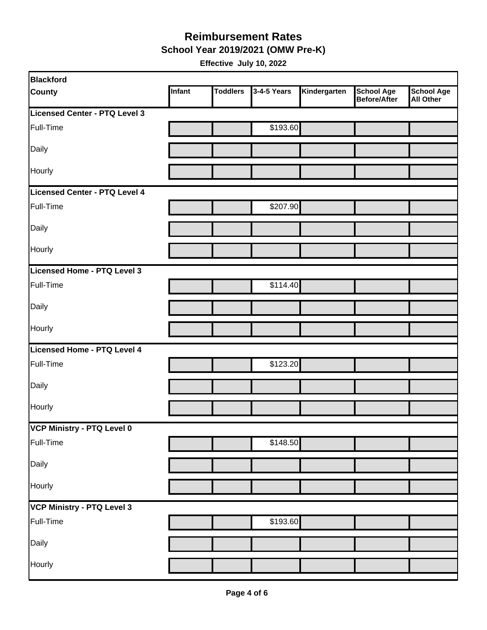**School Year 2019/2021 (OMW Pre-K)**

| <b>Blackford</b>              |        |                 |             |              |                                          |                         |
|-------------------------------|--------|-----------------|-------------|--------------|------------------------------------------|-------------------------|
| <b>County</b>                 | Infant | <b>Toddlers</b> | 3-4-5 Years | Kindergarten | <b>School Age</b><br><b>Before/After</b> | School Age<br>All Other |
| Licensed Center - PTQ Level 3 |        |                 |             |              |                                          |                         |
| Full-Time                     |        |                 | \$193.60    |              |                                          |                         |
| Daily                         |        |                 |             |              |                                          |                         |
| Hourly                        |        |                 |             |              |                                          |                         |
| Licensed Center - PTQ Level 4 |        |                 |             |              |                                          |                         |
| Full-Time                     |        |                 | \$207.90    |              |                                          |                         |
| Daily                         |        |                 |             |              |                                          |                         |
| Hourly                        |        |                 |             |              |                                          |                         |
| Licensed Home - PTQ Level 3   |        |                 |             |              |                                          |                         |
| Full-Time                     |        |                 | \$114.40    |              |                                          |                         |
| Daily                         |        |                 |             |              |                                          |                         |
| Hourly                        |        |                 |             |              |                                          |                         |
| Licensed Home - PTQ Level 4   |        |                 |             |              |                                          |                         |
| Full-Time                     |        |                 | \$123.20    |              |                                          |                         |
| Daily                         |        |                 |             |              |                                          |                         |
| Hourly                        |        |                 |             |              |                                          |                         |
| VCP Ministry - PTQ Level 0    |        |                 |             |              |                                          |                         |
| Full-Time                     |        |                 | \$148.50    |              |                                          |                         |
| Daily                         |        |                 |             |              |                                          |                         |
| Hourly                        |        |                 |             |              |                                          |                         |
| VCP Ministry - PTQ Level 3    |        |                 |             |              |                                          |                         |
| Full-Time                     |        |                 | \$193.60    |              |                                          |                         |
| Daily                         |        |                 |             |              |                                          |                         |
| Hourly                        |        |                 |             |              |                                          |                         |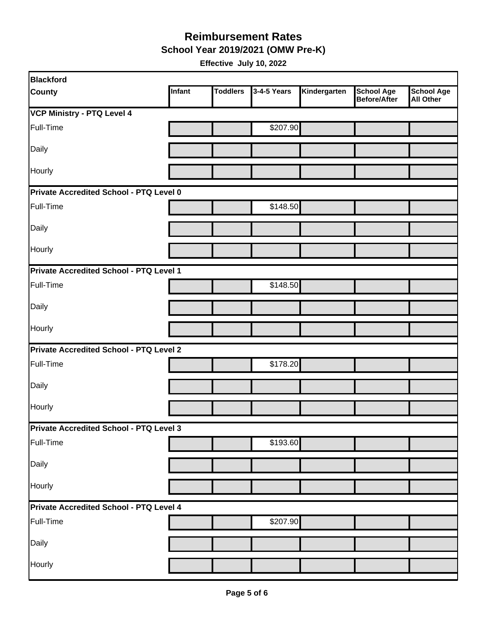**School Year 2019/2021 (OMW Pre-K)**

| Blackford                               |        |                 |             |              |                                          |                                       |
|-----------------------------------------|--------|-----------------|-------------|--------------|------------------------------------------|---------------------------------------|
| <b>County</b>                           | Infant | <b>Toddlers</b> | 3-4-5 Years | Kindergarten | <b>School Age</b><br><b>Before/After</b> | <b>School Age</b><br><b>All Other</b> |
| <b>VCP Ministry - PTQ Level 4</b>       |        |                 |             |              |                                          |                                       |
| Full-Time                               |        |                 | \$207.90    |              |                                          |                                       |
| Daily                                   |        |                 |             |              |                                          |                                       |
| Hourly                                  |        |                 |             |              |                                          |                                       |
| Private Accredited School - PTQ Level 0 |        |                 |             |              |                                          |                                       |
| Full-Time                               |        |                 | \$148.50    |              |                                          |                                       |
| Daily                                   |        |                 |             |              |                                          |                                       |
| Hourly                                  |        |                 |             |              |                                          |                                       |
| Private Accredited School - PTQ Level 1 |        |                 |             |              |                                          |                                       |
| Full-Time                               |        |                 | \$148.50    |              |                                          |                                       |
| Daily                                   |        |                 |             |              |                                          |                                       |
| <b>Hourly</b>                           |        |                 |             |              |                                          |                                       |
| Private Accredited School - PTQ Level 2 |        |                 |             |              |                                          |                                       |
| Full-Time                               |        |                 | \$178.20    |              |                                          |                                       |
| Daily                                   |        |                 |             |              |                                          |                                       |
| Hourly                                  |        |                 |             |              |                                          |                                       |
| Private Accredited School - PTQ Level 3 |        |                 |             |              |                                          |                                       |
| Full-Time                               |        |                 | \$193.60    |              |                                          |                                       |
| Daily                                   |        |                 |             |              |                                          |                                       |
| Hourly                                  |        |                 |             |              |                                          |                                       |
| Private Accredited School - PTQ Level 4 |        |                 |             |              |                                          |                                       |
| Full-Time                               |        |                 | \$207.90    |              |                                          |                                       |
| Daily                                   |        |                 |             |              |                                          |                                       |
| Hourly                                  |        |                 |             |              |                                          |                                       |